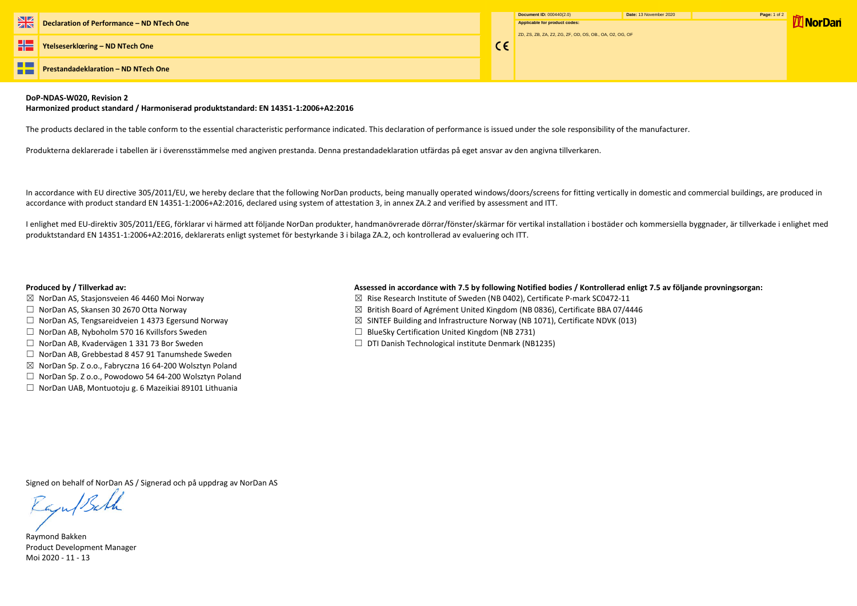|         | Document ID: 000440(2.0)                                | Date: 13 November 2020 | Page: 1 of 2 |
|---------|---------------------------------------------------------|------------------------|--------------|
|         | Applicable for product codes:                           |                        |              |
|         | ZD, ZS, ZB, ZA, Z2, ZG, ZF, OD, OS, OB., OA, O2, OG, OF |                        |              |
| $C \in$ |                                                         |                        |              |
|         |                                                         |                        |              |
|         |                                                         |                        |              |
|         |                                                         |                        |              |

**The Second Street Prestandadeklaration – ND NTech One** --

## **DoP-NDAS-W020, Revision 2**

### **Harmonized product standard / Harmoniserad produktstandard: EN 14351-1:2006+A2:2016**

The products declared in the table conform to the essential characteristic performance indicated. This declaration of performance is issued under the sole responsibility of the manufacturer.

Produkterna deklarerade i tabellen är i överensstämmelse med angiven prestanda. Denna prestandadeklaration utfärdas på eget ansvar av den angivna tillverkaren.

I enlighet med EU-direktiv 305/2011/EEG, förklarar vi härmed att följande NorDan produkter, handmanövrerade dörrar/fönster/skärmar för vertikal installation i bostäder och kommersiella byggnader, är tillverkade i enlighet produktstandard EN 14351-1:2006+A2:2016, deklarerats enligt systemet för bestyrkande 3 i bilaga ZA.2, och kontrollerad av evaluering och ITT.

In accordance with EU directive 305/2011/EU, we hereby declare that the following NorDan products, being manually operated windows/doors/screens for fitting vertically in domestic and commercial buildings, are produced in accordance with product standard EN 14351-1:2006+A2:2016, declared using system of attestation 3, in annex ZA.2 and verified by assessment and ITT.

# **Produced by / Tillverkad av: Assessed in accordance with 7.5 by following Notified bodies / Kontrollerad enligt 7.5 av följande provningsorgan:**

- ☒ NorDan AS, Stasjonsveien 46 4460 Moi Norway ☒ Rise Research Institute of Sweden (NB 0402), Certificate P-mark SC0472-11
- □ NorDan AS, Skansen 30 2670 Otta Norway (2008) The State Base of Agrément United Kingdom (NB 0836), Certificate BBA 07/4446
- ☐ NorDan AS, Tengsareidveien 1 4373 Egersund Norway ☒ SINTEF Building and Infrastructure Norway (NB 1071), Certificate NDVK (013)
- ☐ NorDan AB, Nyboholm 570 16 Kvillsfors Sweden ☐ BlueSky Certification United Kingdom (NB 2731)
- ☐ NorDan AB, Kvadervägen 1 331 73 Bor Sweden ☐ DTI Danish Technological institute Denmark (NB1235)
- 
- 
- 
- 
- 
- ☐ NorDan AB, Grebbestad 8 457 91 Tanumshede Sweden
- ☒ NorDan Sp. Z o.o., Fabryczna 16 64-200 Wolsztyn Poland
- ☐ NorDan Sp. Z o.o., Powodowo 54 64-200 Wolsztyn Poland
- ☐ NorDan UAB, Montuotoju g. 6 Mazeikiai 89101 Lithuania

Signed on behalf of NorDan AS / Signerad och på uppdrag av NorDan AS

Raju/Bath

Raymond Bakken Product Development Manager Moi 2020 - 11 - 13

**7 NorDan**